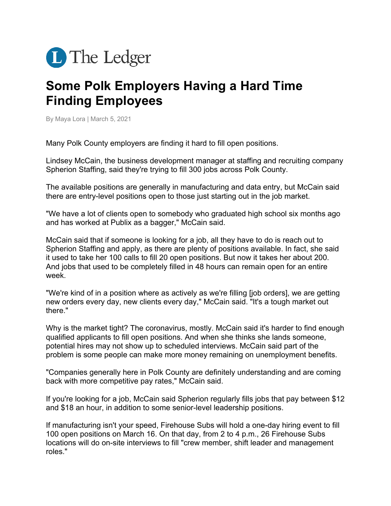

## **Some Polk Employers Having a Hard Time Finding Employees**

By Maya Lora | March 5, 2021

Many Polk County employers are finding it hard to fill open positions.

Lindsey McCain, the business development manager at staffing and recruiting company Spherion Staffing, said they're trying to fill 300 jobs across Polk County.

The available positions are generally in manufacturing and data entry, but McCain said there are entry-level positions open to those just starting out in the job market.

"We have a lot of clients open to somebody who graduated high school six months ago and has worked at Publix as a bagger," McCain said.

McCain said that if someone is looking for a job, all they have to do is reach out to Spherion Staffing and apply, as there are plenty of positions available. In fact, she said it used to take her 100 calls to fill 20 open positions. But now it takes her about 200. And jobs that used to be completely filled in 48 hours can remain open for an entire week.

"We're kind of in a position where as actively as we're filling [job orders], we are getting new orders every day, new clients every day," McCain said. "It's a tough market out there."

Why is the market tight? The coronavirus, mostly. McCain said it's harder to find enough qualified applicants to fill open positions. And when she thinks she lands someone, potential hires may not show up to scheduled interviews. McCain said part of the problem is some people can make more money remaining on unemployment benefits.

"Companies generally here in Polk County are definitely understanding and are coming back with more competitive pay rates," McCain said.

If you're looking for a job, McCain said Spherion regularly fills jobs that pay between \$12 and \$18 an hour, in addition to some senior-level leadership positions.

If manufacturing isn't your speed, Firehouse Subs will hold a one-day hiring event to fill 100 open positions on March 16. On that day, from 2 to 4 p.m., 26 Firehouse Subs locations will do on-site interviews to fill "crew member, shift leader and management roles."